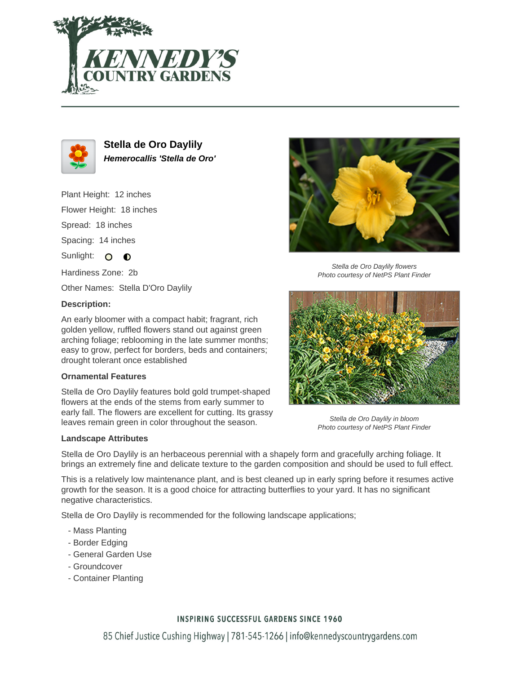



**Stella de Oro Daylily Hemerocallis 'Stella de Oro'**

Plant Height: 12 inches

Flower Height: 18 inches

Spread: 18 inches

Spacing: 14 inches

Sunlight: O O

Hardiness Zone: 2b

Other Names: Stella D'Oro Daylily

## **Description:**

An early bloomer with a compact habit; fragrant, rich golden yellow, ruffled flowers stand out against green arching foliage; reblooming in the late summer months; easy to grow, perfect for borders, beds and containers; drought tolerant once established

## **Ornamental Features**

Stella de Oro Daylily features bold gold trumpet-shaped flowers at the ends of the stems from early summer to early fall. The flowers are excellent for cutting. Its grassy leaves remain green in color throughout the season.

## **Landscape Attributes**



Stella de Oro Daylily flowers Photo courtesy of NetPS Plant Finder



Stella de Oro Daylily in bloom Photo courtesy of NetPS Plant Finder

Stella de Oro Daylily is an herbaceous perennial with a shapely form and gracefully arching foliage. It brings an extremely fine and delicate texture to the garden composition and should be used to full effect.

This is a relatively low maintenance plant, and is best cleaned up in early spring before it resumes active growth for the season. It is a good choice for attracting butterflies to your yard. It has no significant negative characteristics.

Stella de Oro Daylily is recommended for the following landscape applications;

- Mass Planting
- Border Edging
- General Garden Use
- Groundcover
- Container Planting

# **INSPIRING SUCCESSFUL GARDENS SINCE 1960**

85 Chief Justice Cushing Highway | 781-545-1266 | info@kennedyscountrygardens.com